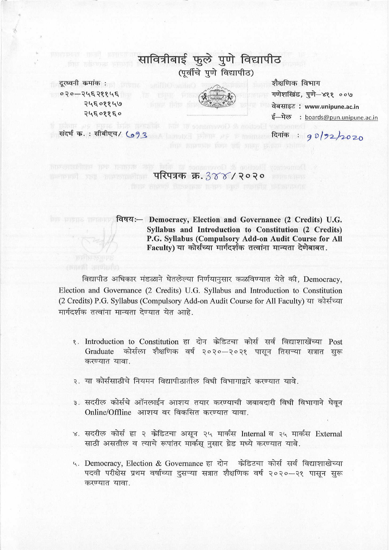# सावित्रीबाई फुले पुणे विद्यापीठ (पूर्वीचे पूर्णे विद्यापीठ)

दूरध्वनी कमांक : ०२०—२५६२११५६ 24502246 २५६०११६०



शैक्षणिक विभाग गणेशखिंड, पुणे-४११ ००७ वेबसाइट : www.unipune.ac.in ई-मेल : boards@pun.unipune.ac.in

दिनांक: 90/92/2020

 $\frac{1}{20}$  The contract of  $\frac{1}{20}$  The  $\frac{1}{20}$  The  $\frac{1}{20}$  The  $\frac{1}{20}$  The  $\frac{1}{20}$  The  $\frac{1}{20}$  The  $\frac{1}{20}$  The  $\frac{1}{20}$  The  $\frac{1}{20}$  The  $\frac{1}{20}$  The  $\frac{1}{20}$  The  $\frac{1}{20}$  The  $\frac{1}{20}$  The

संदर्भ क.: सीबीएच/ 693 A Home Hours PS E moment

विषय:- Democracy, Election and Governance (2 Credits) U.G. Syllabus and Introduction to Constitution (2 Credits) P.G. Syllabus (Compulsory Add-on Audit Course for All Faculty) या कोर्सच्या मार्गदर्शक तत्वांना मान्यता देणेबाबत.

विद्यापीठ अधिकार मंडळाने घेतलेल्या निर्णयानुसार कळविण्यात येते की. Democracy, Election and Governance (2 Credits) U.G. Syllabus and Introduction to Constitution (2 Credits) P.G. Syllabus (Compulsory Add-on Audit Course for All Faculty) या कोर्सच्या मार्गदर्शक तत्वांना मान्यता देण्यात येत आहे.

- १. Introduction to Constitution हा दोन केडिटचा कोर्स सर्व विद्याशाखेंच्या Post Graduate कोर्सला शैक्षणिक वर्ष २०२०–२०२१ पासून तिसऱ्या सत्रात सुरू करण्यात यावा.
- २. या कोर्ससाठीचे नियमन विद्यापीठातील विधी विभागाद्वारे करण्यात यावे.
- ३. सदरील कोर्सचे ऑनलाईन आशय तयार करण्याची जबाबदारी विधी विभागाने घेवून Online/Offline आशय वर विकसित करण्यात यावा.
- ४. सदरील कोर्स हा २ केडिटचा असून २५ मार्कस Internal व २५ मार्कस External साठी असतील व त्याचे रूपांतर मार्कस् नुसार ग्रेड मध्ये करण्यात यावे.
- ५. Democracy, Election & Governance हा दोन केडिटचा कोर्स सर्व विद्याशाखेच्या पदवी परीक्षेस प्रथम वर्षाच्या दुसऱ्या सत्रात शैक्षणिक वर्ष २०२०–२१ पासून सुरू करण्यात यावा.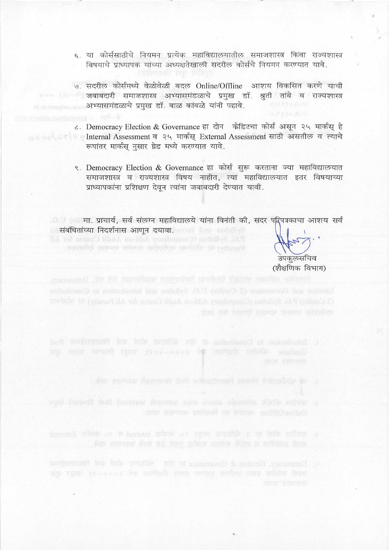- ६. या कोर्ससाठीचे नियमन प्रत्येक महाविद्यालयातील समाजशास्त्र किंवा राज्यशास्त्र विषयाचे प्राध्यापक यांच्या अध्यक्षतेखाली सदरील कोर्सचे नियमन करण्यात यावे.
- ७. सदरील कोर्समध्ये वेळोवेळी बदल Online/Offline आशय विकसित करणे याची 000 । जबाबदारी समाजशास्त्र अभ्यासमंडळाचे प्रमुख डॉ. श्रुती तांबे व राज्यशास्त्र विकास सम्यासमंडळाचे प्रमुख डॉ. बाळ कांबळे यांनी पहावे.
- ८. Democracy Election & Governance हा दोन केडिटचा कोर्स असून २५ मार्कस् हे Internal Assessment व २५ मार्कस् External Assessment साठी असतील व त्याचे रूपांतर मार्कस नसार ग्रेड मध्ये करण्यात यावे.
	- ९. Democracy Election & Governance हा कोर्स सुरू करताना ज्या महाविद्यालयात समाजशास्त्र व राज्यशास्त्र विषय नाहीत, त्या महाविद्यालयात इतर विषयाच्या प्राध्यापकांना प्रशिक्षण देवून त्यांना जबाबदारी देण्यात यावी.

ं संबंधितांच्या निदर्शनास आणून दयावा.

उपकलसचिव (शैक्षणिक विभाग)

ary man weard were good-open in another resides condant)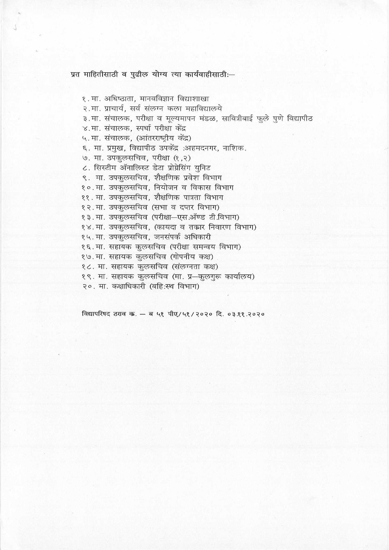प्रत माहितीसाठी व पुढील योग्य त्या कार्यवाहीसाठी:-

१. मा. अधिष्ठाता, मानवविज्ञान विद्याशाखा २.मा. प्राचार्य, सर्व संलग्न कला महाविद्यालये ३.मा. संचालक, परीक्षा व मूल्यमापन मंडळ, सावित्रीबाई फुले पुणे विद्यापीठ ४.मा. संचालक, स्पर्धा परीक्षा केंद्र ५. मा. संचालक, (आंतरराष्ट्रीय केंद्र) ६. मा. प्रमुख, विद्यापीठ उपकेंद्र :अहमदनगर, नाशिक. ७. मा. उपकुलसचिव, परीक्षा (१,२) ८. सिस्टीम ॲनालिस्ट डेटा प्रोग्रेसिंग युनिट ९. मा. उपकुलसचिव, शैक्षणिक प्रवेश विभाग १०.मा. उपकुलसचिव, नियोजन व विकास विभाग ११. मा. उपकुलसचिव, शैक्षणिक पात्रता विभाग १२. मा. उपकुलसचिव (सभा व दप्तर विभाग) १३. मा. उपकुलसचिव (परीक्षा-एस.ऑण्ड टी.विभाग) १४. मा. उपकुलसचिव, (कायदा व तकार निवारण विभाग) १५. मा. उपकुलसचिव, जनसंपर्क अधिकारी १६.मा. सहायक कुलसचिव (परीक्षा समन्वय विभाग) १७. मा. सहायक कुलसचिव (गोपनीय कक्ष) १८. मा. सहायक कुलसचिव (संलग्नता कक्ष) १९. मा. सहायक कुलसचिव (मा. प्र—कुलगुरू कार्यालय) २०. मा. कक्षाधिकारी (बहि:स्थ विभाग)

विद्यापरिषद ठराव क. - ब ५१ पीए/५१/२०२० दि. ०३.११.२०२०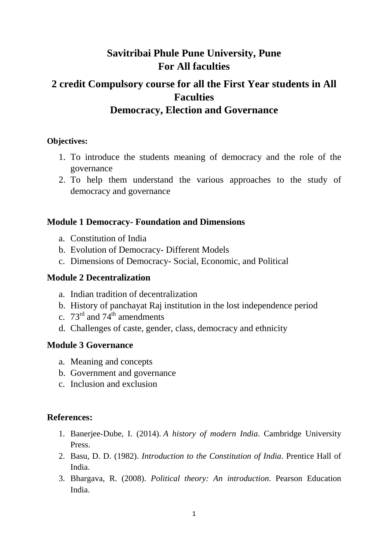# **Savitribai Phule Pune University, Pune For All faculties**

# **2 credit Compulsory course for all the First Year students in All Faculties Democracy, Election and Governance**

# **Objectives:**

- 1. To introduce the students meaning of democracy and the role of the governance
- 2. To help them understand the various approaches to the study of democracy and governance

# **Module 1 Democracy- Foundation and Dimensions**

- a. Constitution of India
- b. Evolution of Democracy- Different Models
- c. Dimensions of Democracy- Social, Economic, and Political

# **Module 2 Decentralization**

- a. Indian tradition of decentralization
- b. History of panchayat Raj institution in the lost independence period
- c.  $73^{\text{rd}}$  and  $74^{\text{th}}$  amendments
- d. Challenges of caste, gender, class, democracy and ethnicity

# **Module 3 Governance**

- a. Meaning and concepts
- b. Government and governance
- c. Inclusion and exclusion

# **References:**

- 1. Banerjee-Dube, I. (2014). *A history of modern India*. Cambridge University Press.
- 2. Basu, D. D. (1982). *Introduction to the Constitution of India*. Prentice Hall of India.
- 3. Bhargava, R. (2008). *Political theory: An introduction*. Pearson Education India.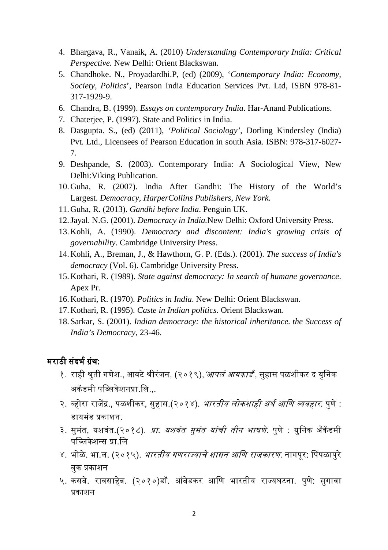- 4. Bhargava, R., Vanaik, A. (2010) *Understanding Contemporary India: Critical Perspective.* New Delhi: Orient Blackswan.
- 5. Chandhoke. N., Proyadardhi.P, (ed) (2009), '*Contemporary India: Economy, Society, Politics*', Pearson India Education Services Pvt. Ltd, ISBN 978-81- 317-1929-9.
- 6. Chandra, B. (1999). *Essays on contemporary India*. Har-Anand Publications.
- 7. Chaterjee, P. (1997). State and Politics in India.
- 8. Dasgupta. S., (ed) (2011), *'Political Sociology'*, Dorling Kindersley (India) Pvt. Ltd., Licensees of Pearson Education in south Asia. ISBN: 978-317-6027- 7.
- 9. Deshpande, S. (2003). Contemporary India: A Sociological View, New Delhi:Viking Publication.
- 10.Guha, R. (2007). India After Gandhi: The History of the World's Largest. *Democracy, HarperCollins Publishers, New York*.
- 11.Guha, R. (2013). *Gandhi before India*. Penguin UK.
- 12.Jayal. N.G. (2001). *Democracy in India.*New Delhi: Oxford University Press.
- 13.Kohli, A. (1990). *Democracy and discontent: India's growing crisis of governability*. Cambridge University Press.
- 14.Kohli, A., Breman, J., & Hawthorn, G. P. (Eds.). (2001). *The success of India's democracy* (Vol. 6). Cambridge University Press.
- 15.Kothari, R. (1989). *State against democracy: In search of humane governance*. Apex Pr.
- 16.Kothari, R. (1970). *Politics in India*. New Delhi: Orient Blackswan.
- 17.Kothari, R. (1995). *Caste in Indian politics*. Orient Blackswan.
- 18. Sarkar, S. (2001). *Indian democracy: the historical inheritance. the Success of India's Democracy*, 23-46.

### मराठी संदर्भ ग्रंथ:

- १. राही श्रुती गणेश., आवटे श्रीरंजन, (२०१९),*'आपलं आयकार्ड*', सुहास पळशीकर द युनिक अकॅडमी पब्लिकेशनप्रा.लि...
- २. व्होरा राजेंद्र.. पळशीकर, सुहास.(२०१४). *भारतीय लोकशाही अर्थ आणि व्यवहार*. पुणे : डायमंड प्रकाशन.
- ३. सुमंत, यशवंत.(२०१८). *प्रा. यशवंत सुमंत यांची तीन भाषणे*. पुणे : युनिक अँकँडमी पब्लिकेशन्स प्रा.लि
- ४. भोळे. भा.ल. (२०१५). *भारतीय गणराज्याचे शासन आणि राजकारण*. नागपर: पिंपळापरे बक प्रकाशन
- ५. कसबे. रावसाहेब. (२०१०)डॉ. आंबेडकर आिण भारतीय रा᭔यघटना. पुणे: सुगावा प्रकाशन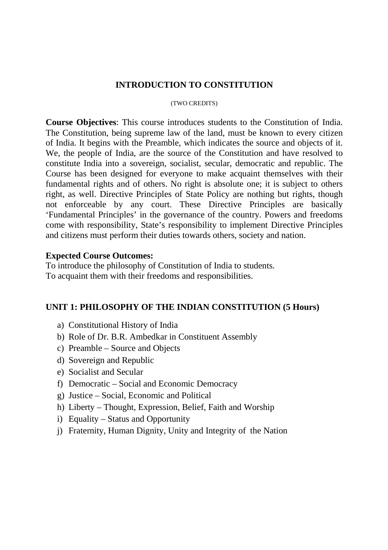### **INTRODUCTION TO CONSTITUTION**

#### (TWO CREDITS)

**Course Objectives**: This course introduces students to the Constitution of India. The Constitution, being supreme law of the land, must be known to every citizen of India. It begins with the Preamble, which indicates the source and objects of it. We, the people of India, are the source of the Constitution and have resolved to constitute India into a sovereign, socialist, secular, democratic and republic. The Course has been designed for everyone to make acquaint themselves with their fundamental rights and of others. No right is absolute one; it is subject to others right, as well. Directive Principles of State Policy are nothing but rights, though not enforceable by any court. These Directive Principles are basically 'Fundamental Principles' in the governance of the country. Powers and freedoms come with responsibility, State's responsibility to implement Directive Principles and citizens must perform their duties towards others, society and nation.

#### **Expected Course Outcomes:**

To introduce the philosophy of Constitution of India to students. To acquaint them with their freedoms and responsibilities.

# **UNIT 1: PHILOSOPHY OF THE INDIAN CONSTITUTION (5 Hours)**

- a) Constitutional History of India
- b) Role of Dr. B.R. Ambedkar in Constituent Assembly
- c) Preamble Source and Objects
- d) Sovereign and Republic
- e) Socialist and Secular
- f) Democratic Social and Economic Democracy
- g) Justice Social, Economic and Political
- h) Liberty Thought, Expression, Belief, Faith and Worship
- i) Equality Status and Opportunity
- j) Fraternity, Human Dignity, Unity and Integrity of the Nation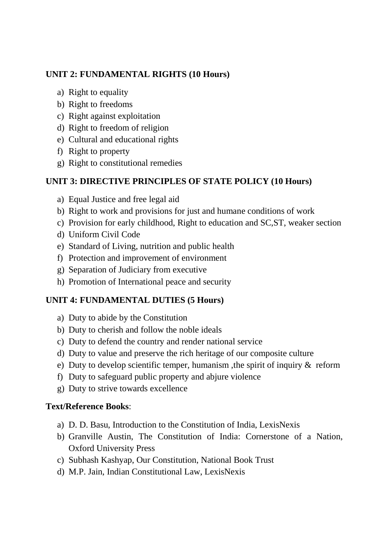# **UNIT 2: FUNDAMENTAL RIGHTS (10 Hours)**

- a) Right to equality
- b) Right to freedoms
- c) Right against exploitation
- d) Right to freedom of religion
- e) Cultural and educational rights
- f) Right to property
- g) Right to constitutional remedies

# **UNIT 3: DIRECTIVE PRINCIPLES OF STATE POLICY (10 Hours)**

- a) Equal Justice and free legal aid
- b) Right to work and provisions for just and humane conditions of work
- c) Provision for early childhood, Right to education and SC,ST, weaker section
- d) Uniform Civil Code
- e) Standard of Living, nutrition and public health
- f) Protection and improvement of environment
- g) Separation of Judiciary from executive
- h) Promotion of International peace and security

# **UNIT 4: FUNDAMENTAL DUTIES (5 Hours)**

- a) Duty to abide by the Constitution
- b) Duty to cherish and follow the noble ideals
- c) Duty to defend the country and render national service
- d) Duty to value and preserve the rich heritage of our composite culture
- e) Duty to develop scientific temper, humanism ,the spirit of inquiry & reform
- f) Duty to safeguard public property and abjure violence
- g) Duty to strive towards excellence

# **Text/Reference Books**:

- a) D. D. Basu, Introduction to the Constitution of India, LexisNexis
- b) Granville Austin, The Constitution of India: Cornerstone of a Nation, Oxford University Press
- c) Subhash Kashyap, Our Constitution, National Book Trust
- d) M.P. Jain, Indian Constitutional Law, LexisNexis